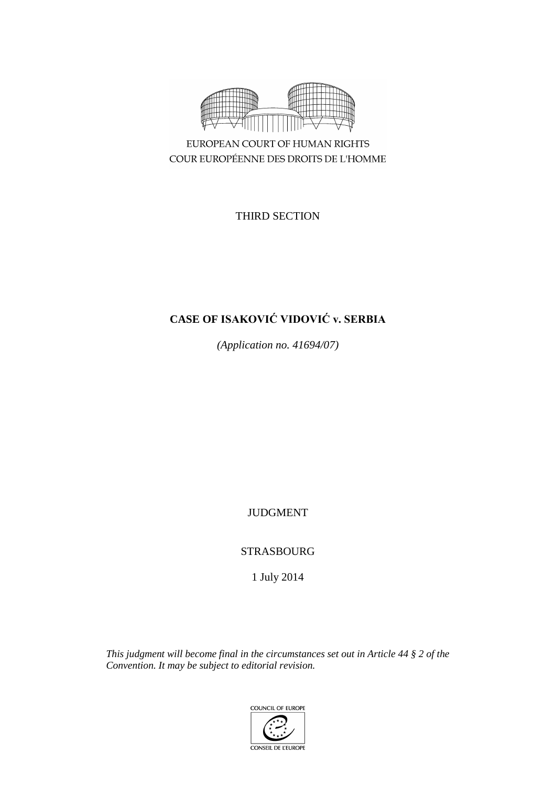

COUR EUROPÉENNE DES DROITS DE L'HOMME

THIRD SECTION

# **CASE OF ISAKOVIĆ VIDOVIĆ v. SERBIA**

*(Application no. 41694/07)*

JUDGMENT

STRASBOURG

1 July 2014

*This judgment will become final in the circumstances set out in Article 44 § 2 of the Convention. It may be subject to editorial revision.*

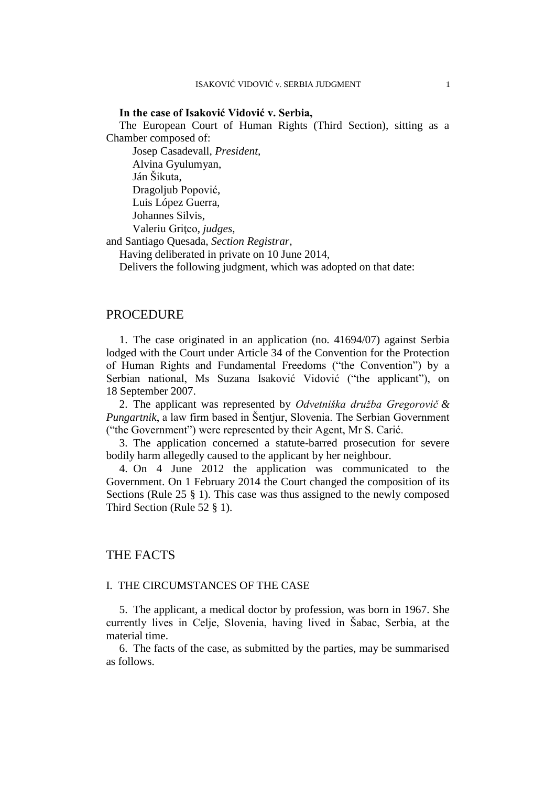#### **In the case of Isaković Vidović v. Serbia,**

The European Court of Human Rights (Third Section), sitting as a Chamber composed of:

Josep Casadevall, *President,* Alvina Gyulumyan, Ján Šikuta, Dragoljub Popović, Luis López Guerra, Johannes Silvis, Valeriu Griţco, *judges,* and Santiago Quesada, *Section Registrar,*

Having deliberated in private on 10 June 2014,

Delivers the following judgment, which was adopted on that date:

# PROCEDURE

1. The case originated in an application (no. 41694/07) against Serbia lodged with the Court under Article 34 of the Convention for the Protection of Human Rights and Fundamental Freedoms ("the Convention") by a Serbian national, Ms Suzana Isaković Vidović ("the applicant"), on 18 September 2007.

2. The applicant was represented by *Odvetniška družba Gregorovič & Pungartnik*, a law firm based in Šentjur, Slovenia. The Serbian Government ("the Government") were represented by their Agent, Mr S. Carić.

3. The application concerned a statute-barred prosecution for severe bodily harm allegedly caused to the applicant by her neighbour.

4. On 4 June 2012 the application was communicated to the Government. On 1 February 2014 the Court changed the composition of its Sections (Rule 25 § 1). This case was thus assigned to the newly composed Third Section (Rule 52 § 1).

# THE FACTS

### I. THE CIRCUMSTANCES OF THE CASE

5. The applicant, a medical doctor by profession, was born in 1967. She currently lives in Celje, Slovenia, having lived in Šabac, Serbia, at the material time.

6. The facts of the case, as submitted by the parties, may be summarised as follows.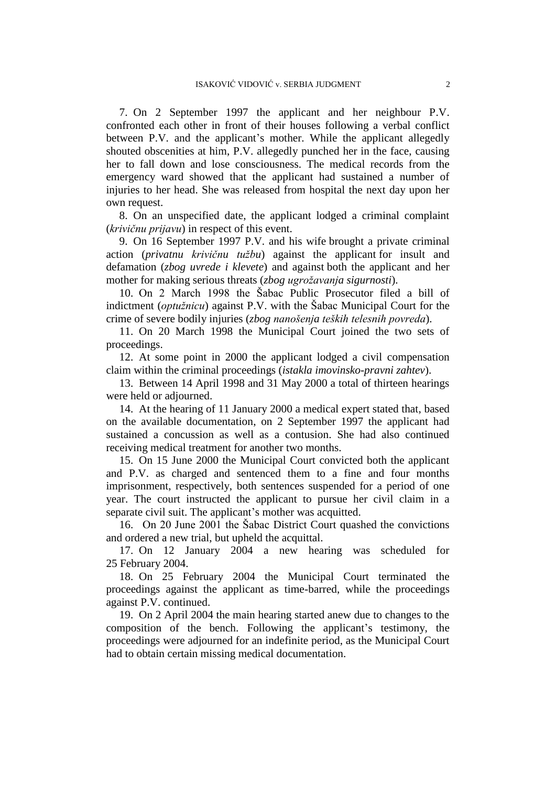7. On 2 September 1997 the applicant and her neighbour P.V. confronted each other in front of their houses following a verbal conflict between P.V. and the applicant's mother. While the applicant allegedly shouted obscenities at him, P.V. allegedly punched her in the face, causing her to fall down and lose consciousness. The medical records from the emergency ward showed that the applicant had sustained a number of injuries to her head. She was released from hospital the next day upon her own request.

8. On an unspecified date, the applicant lodged a criminal complaint (*krivičnu prijavu*) in respect of this event.

9. On 16 September 1997 P.V. and his wife brought a private criminal action (*privatnu krivičnu tužbu*) against the applicant for insult and defamation (*zbog uvrede i klevete*) and against both the applicant and her mother for making serious threats (*zbog ugrožavanja sigurnosti*).

10. On 2 March 1998 the Šabac Public Prosecutor filed a bill of indictment (*optužnicu*) against P.V. with the Šabac Municipal Court for the crime of severe bodily injuries (*zbog nanošenja teških telesnih povreda*).

11. On 20 March 1998 the Municipal Court joined the two sets of proceedings.

12. At some point in 2000 the applicant lodged a civil compensation claim within the criminal proceedings (*istakla imovinsko-pravni zahtev*).

13. Between 14 April 1998 and 31 May 2000 a total of thirteen hearings were held or adjourned.

14. At the hearing of 11 January 2000 a medical expert stated that, based on the available documentation, on 2 September 1997 the applicant had sustained a concussion as well as a contusion. She had also continued receiving medical treatment for another two months.

15. On 15 June 2000 the Municipal Court convicted both the applicant and P.V. as charged and sentenced them to a fine and four months imprisonment, respectively, both sentences suspended for a period of one year. The court instructed the applicant to pursue her civil claim in a separate civil suit. The applicant's mother was acquitted.

16. On 20 June 2001 the Šabac District Court quashed the convictions and ordered a new trial, but upheld the acquittal.

17. On 12 January 2004 a new hearing was scheduled for 25 February 2004.

18. On 25 February 2004 the Municipal Court terminated the proceedings against the applicant as time-barred, while the proceedings against P.V. continued.

19. On 2 April 2004 the main hearing started anew due to changes to the composition of the bench. Following the applicant's testimony, the proceedings were adjourned for an indefinite period, as the Municipal Court had to obtain certain missing medical documentation.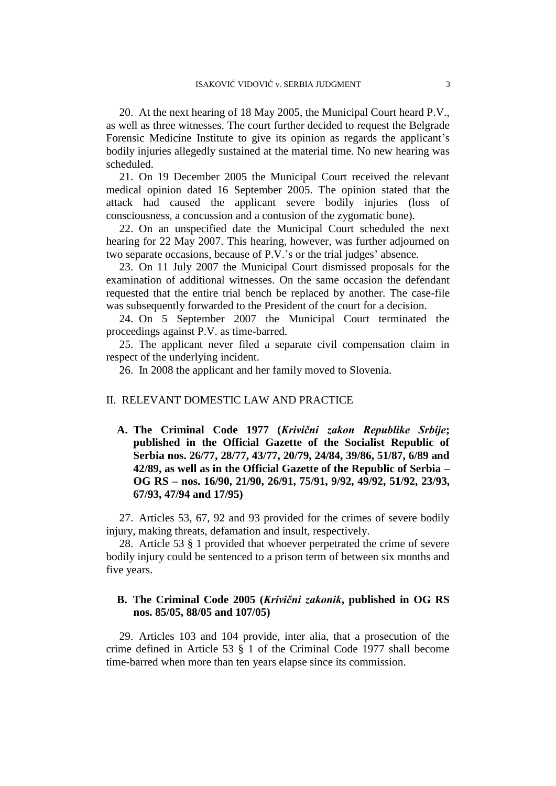20. At the next hearing of 18 May 2005, the Municipal Court heard P.V., as well as three witnesses. The court further decided to request the Belgrade Forensic Medicine Institute to give its opinion as regards the applicant's bodily injuries allegedly sustained at the material time. No new hearing was scheduled.

21. On 19 December 2005 the Municipal Court received the relevant medical opinion dated 16 September 2005. The opinion stated that the attack had caused the applicant severe bodily injuries (loss of consciousness, a concussion and a contusion of the zygomatic bone).

22. On an unspecified date the Municipal Court scheduled the next hearing for 22 May 2007. This hearing, however, was further adjourned on two separate occasions, because of P.V.'s or the trial judges' absence.

23. On 11 July 2007 the Municipal Court dismissed proposals for the examination of additional witnesses. On the same occasion the defendant requested that the entire trial bench be replaced by another. The case-file was subsequently forwarded to the President of the court for a decision.

24. On 5 September 2007 the Municipal Court terminated the proceedings against P.V. as time-barred.

25. The applicant never filed a separate civil compensation claim in respect of the underlying incident.

26. In 2008 the applicant and her family moved to Slovenia.

### II. RELEVANT DOMESTIC LAW AND PRACTICE

**A. The Criminal Code 1977 (***Krivični zakon Republike Srbije***; published in the Official Gazette of the Socialist Republic of Serbia nos. 26/77, 28/77, 43/77, 20/79, 24/84, 39/86, 51/87, 6/89 and 42/89, as well as in the Official Gazette of the Republic of Serbia – OG RS – nos. 16/90, 21/90, 26/91, 75/91, 9/92, 49/92, 51/92, 23/93, 67/93, 47/94 and 17/95)**

27. Articles 53, 67, 92 and 93 provided for the crimes of severe bodily injury, making threats, defamation and insult, respectively.

28. Article 53 § 1 provided that whoever perpetrated the crime of severe bodily injury could be sentenced to a prison term of between six months and five years.

# **B. The Criminal Code 2005 (***Krivični zakonik***, published in OG RS nos. 85/05, 88/05 and 107/05)**

29. Articles 103 and 104 provide, inter alia, that a prosecution of the crime defined in Article 53 § 1 of the Criminal Code 1977 shall become time-barred when more than ten years elapse since its commission.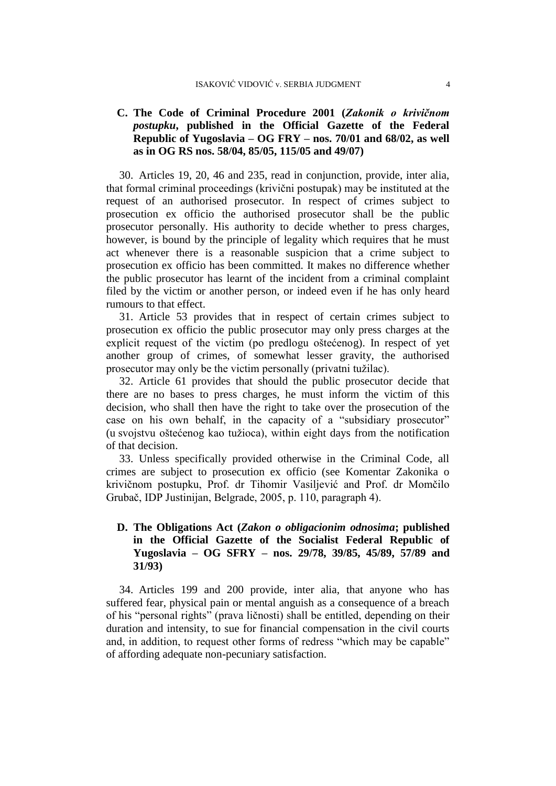# **C. The Code of Criminal Procedure 2001 (***Zakonik o krivičnom postupku***, published in the Official Gazette of the Federal Republic of Yugoslavia – OG FRY – nos. 70/01 and 68/02, as well as in OG RS nos. 58/04, 85/05, 115/05 and 49/07)**

30. Articles 19, 20, 46 and 235, read in conjunction, provide, inter alia, that formal criminal proceedings (krivični postupak) may be instituted at the request of an authorised prosecutor. In respect of crimes subject to prosecution ex officio the authorised prosecutor shall be the public prosecutor personally. His authority to decide whether to press charges, however, is bound by the principle of legality which requires that he must act whenever there is a reasonable suspicion that a crime subject to prosecution ex officio has been committed. It makes no difference whether the public prosecutor has learnt of the incident from a criminal complaint filed by the victim or another person, or indeed even if he has only heard rumours to that effect.

31. Article 53 provides that in respect of certain crimes subject to prosecution ex officio the public prosecutor may only press charges at the explicit request of the victim (po predlogu oštećenog). In respect of yet another group of crimes, of somewhat lesser gravity, the authorised prosecutor may only be the victim personally (privatni tužilac).

32. Article 61 provides that should the public prosecutor decide that there are no bases to press charges, he must inform the victim of this decision, who shall then have the right to take over the prosecution of the case on his own behalf, in the capacity of a "subsidiary prosecutor" (u svojstvu oštećenog kao tužioca), within eight days from the notification of that decision.

33. Unless specifically provided otherwise in the Criminal Code, all crimes are subject to prosecution ex officio (see Komentar Zakonika o krivičnom postupku, Prof. dr Tihomir Vasiljević and Prof. dr Momčilo Grubač, IDP Justinijan, Belgrade, 2005, p. 110, paragraph 4).

# **D. The Obligations Act (***Zakon o obligacionim odnosima***; published in the Official Gazette of the Socialist Federal Republic of Yugoslavia – OG SFRY – nos. 29/78, 39/85, 45/89, 57/89 and 31/93)**

34. Articles 199 and 200 provide, inter alia, that anyone who has suffered fear, physical pain or mental anguish as a consequence of a breach of his "personal rights" (prava ličnosti) shall be entitled, depending on their duration and intensity, to sue for financial compensation in the civil courts and, in addition, to request other forms of redress "which may be capable" of affording adequate non-pecuniary satisfaction.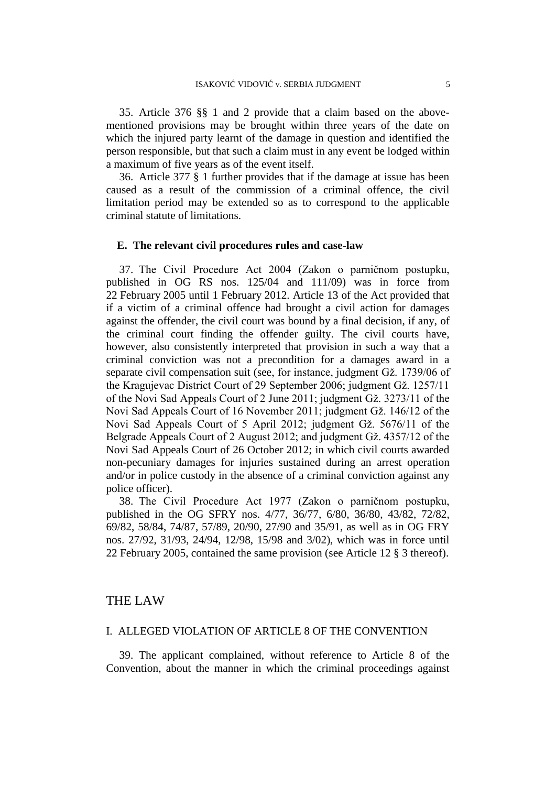35. Article 376 §§ 1 and 2 provide that a claim based on the abovementioned provisions may be brought within three years of the date on which the injured party learnt of the damage in question and identified the person responsible, but that such a claim must in any event be lodged within a maximum of five years as of the event itself.

36. Article 377 § 1 further provides that if the damage at issue has been caused as a result of the commission of a criminal offence, the civil limitation period may be extended so as to correspond to the applicable criminal statute of limitations.

#### **E. The relevant civil procedures rules and case-law**

37. The Civil Procedure Act 2004 (Zakon o parničnom postupku, published in OG RS nos. 125/04 and 111/09) was in force from 22 February 2005 until 1 February 2012. Article 13 of the Act provided that if a victim of a criminal offence had brought a civil action for damages against the offender, the civil court was bound by a final decision, if any, of the criminal court finding the offender guilty. The civil courts have, however, also consistently interpreted that provision in such a way that a criminal conviction was not a precondition for a damages award in a separate civil compensation suit (see, for instance, judgment Gž. 1739/06 of the Kragujevac District Court of 29 September 2006; judgment Gž. 1257/11 of the Novi Sad Appeals Court of 2 June 2011; judgment Gž. 3273/11 of the Novi Sad Appeals Court of 16 November 2011; judgment Gž. 146/12 of the Novi Sad Appeals Court of 5 April 2012; judgment Gž. 5676/11 of the Belgrade Appeals Court of 2 August 2012; and judgment Gž. 4357/12 of the Novi Sad Appeals Court of 26 October 2012; in which civil courts awarded non-pecuniary damages for injuries sustained during an arrest operation and/or in police custody in the absence of a criminal conviction against any police officer).

38. The Civil Procedure Act 1977 (Zakon o parničnom postupku, published in the OG SFRY nos. 4/77, 36/77, 6/80, 36/80, 43/82, 72/82, 69/82, 58/84, 74/87, 57/89, 20/90, 27/90 and 35/91, as well as in OG FRY nos. 27/92, 31/93, 24/94, 12/98, 15/98 and 3/02), which was in force until 22 February 2005, contained the same provision (see Article 12 § 3 thereof).

### THE LAW

### I. ALLEGED VIOLATION OF ARTICLE 8 OF THE CONVENTION

39. The applicant complained, without reference to Article 8 of the Convention, about the manner in which the criminal proceedings against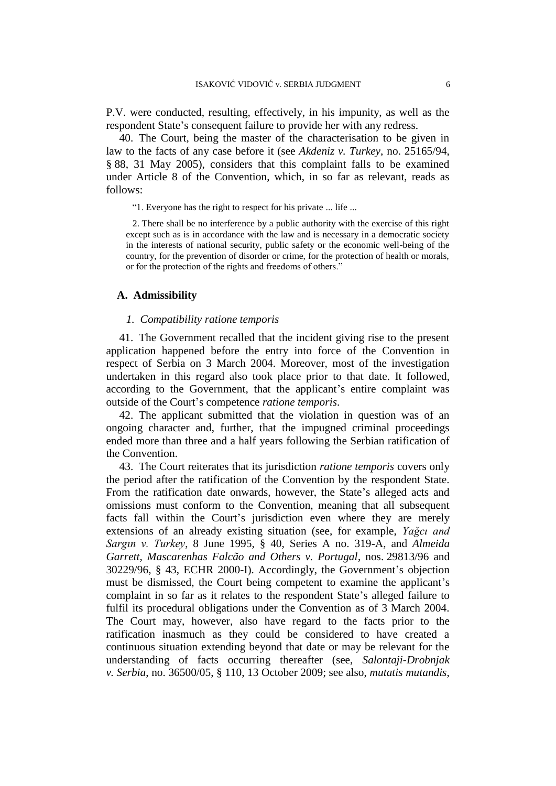P.V. were conducted, resulting, effectively, in his impunity, as well as the respondent State's consequent failure to provide her with any redress.

40. The Court, being the master of the characterisation to be given in law to the facts of any case before it (see *Akdeniz v. Turkey*, no. 25165/94, § 88, 31 May 2005), considers that this complaint falls to be examined under Article 8 of the Convention, which, in so far as relevant, reads as follows:

"1. Everyone has the right to respect for his private ... life ...

2. There shall be no interference by a public authority with the exercise of this right except such as is in accordance with the law and is necessary in a democratic society in the interests of national security, public safety or the economic well-being of the country, for the prevention of disorder or crime, for the protection of health or morals, or for the protection of the rights and freedoms of others."

# **A. Admissibility**

#### *1. Compatibility ratione temporis*

41. The Government recalled that the incident giving rise to the present application happened before the entry into force of the Convention in respect of Serbia on 3 March 2004. Moreover, most of the investigation undertaken in this regard also took place prior to that date. It followed, according to the Government, that the applicant's entire complaint was outside of the Court's competence *ratione temporis*.

42. The applicant submitted that the violation in question was of an ongoing character and, further, that the impugned criminal proceedings ended more than three and a half years following the Serbian ratification of the Convention.

43. The Court reiterates that its jurisdiction *ratione temporis* covers only the period after the ratification of the Convention by the respondent State. From the ratification date onwards, however, the State's alleged acts and omissions must conform to the Convention, meaning that all subsequent facts fall within the Court's jurisdiction even where they are merely extensions of an already existing situation (see, for example, *Yağcı and Sargın v. Turkey*, 8 June 1995, § 40, Series A no. 319-A, and *Almeida Garrett, Mascarenhas Falcão and Others v. Portugal*, nos. 29813/96 and 30229/96, § 43, ECHR 2000-I). Accordingly, the Government's objection must be dismissed, the Court being competent to examine the applicant's complaint in so far as it relates to the respondent State's alleged failure to fulfil its procedural obligations under the Convention as of 3 March 2004. The Court may, however, also have regard to the facts prior to the ratification inasmuch as they could be considered to have created a continuous situation extending beyond that date or may be relevant for the understanding of facts occurring thereafter (see, *Salontaji-Drobnjak v. Serbia*, no. 36500/05, § 110, 13 October 2009; see also, *mutatis mutandis*,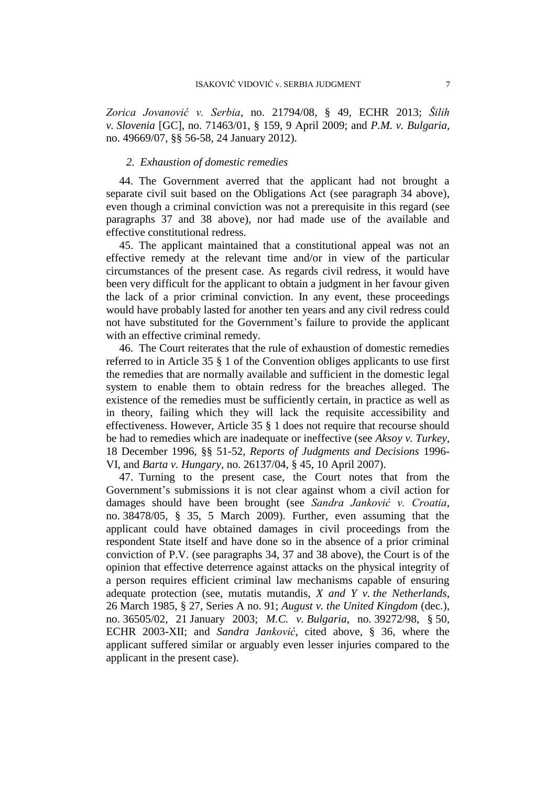*Zorica Jovanović v. Serbia*, no. 21794/08, § 49, ECHR 2013; *Šilih v. Slovenia* [GC], no. 71463/01, § 159, 9 April 2009; and *P.M. v. Bulgaria*, no. 49669/07, §§ 56-58, 24 January 2012).

### *2. Exhaustion of domestic remedies*

44. The Government averred that the applicant had not brought a separate civil suit based on the Obligations Act (see paragraph 34 above), even though a criminal conviction was not a prerequisite in this regard (see paragraphs 37 and 38 above), nor had made use of the available and effective constitutional redress.

45. The applicant maintained that a constitutional appeal was not an effective remedy at the relevant time and/or in view of the particular circumstances of the present case. As regards civil redress, it would have been very difficult for the applicant to obtain a judgment in her favour given the lack of a prior criminal conviction. In any event, these proceedings would have probably lasted for another ten years and any civil redress could not have substituted for the Government's failure to provide the applicant with an effective criminal remedy.

46. The Court reiterates that the rule of exhaustion of domestic remedies referred to in Article 35 § 1 of the Convention obliges applicants to use first the remedies that are normally available and sufficient in the domestic legal system to enable them to obtain redress for the breaches alleged. The existence of the remedies must be sufficiently certain, in practice as well as in theory, failing which they will lack the requisite accessibility and effectiveness. However, Article 35 § 1 does not require that recourse should be had to remedies which are inadequate or ineffective (see *Aksoy v. Turkey*, 18 December 1996, §§ 51-52, *Reports of Judgments and Decisions* 1996- VI, and *Barta v. Hungary*, no. 26137/04, § 45, 10 April 2007).

47. Turning to the present case, the Court notes that from the Government's submissions it is not clear against whom a civil action for damages should have been brought (see *Sandra Janković v. Croatia*, no. 38478/05, § 35, 5 March 2009). Further, even assuming that the applicant could have obtained damages in civil proceedings from the respondent State itself and have done so in the absence of a prior criminal conviction of P.V. (see paragraphs 34, 37 and 38 above), the Court is of the opinion that effective deterrence against attacks on the physical integrity of a person requires efficient criminal law mechanisms capable of ensuring adequate protection (see, mutatis mutandis, *X and Y v. the Netherlands*, 26 March 1985, § 27, Series A no. 91; *August v. the United Kingdom* (dec.), no. 36505/02, 21 January 2003; *M.C. v. Bulgaria*, no. 39272/98, § 50, ECHR 2003-XII; and *Sandra Janković*, cited above, § 36, where the applicant suffered similar or arguably even lesser injuries compared to the applicant in the present case).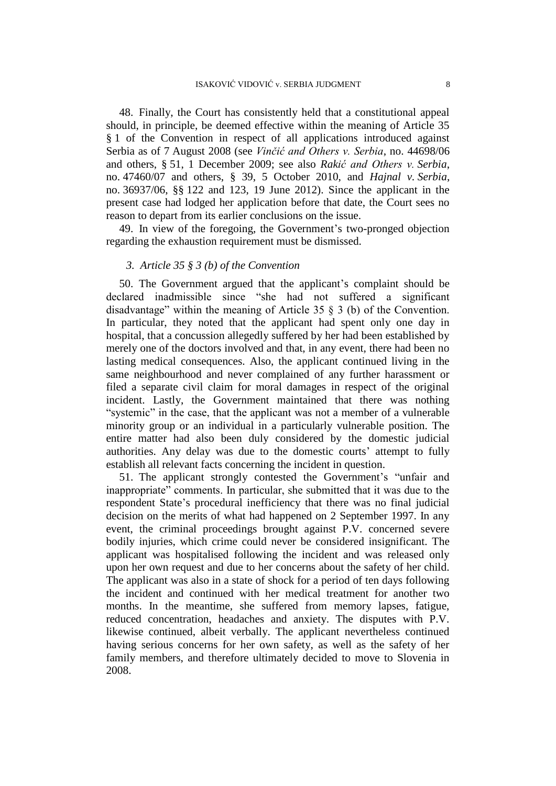48. Finally, the Court has consistently held that a constitutional appeal should, in principle, be deemed effective within the meaning of Article 35 § 1 of the Convention in respect of all applications introduced against Serbia as of 7 August 2008 (see *Vinčić and Others v. Serbia*, no. 44698/06 and others, § 51, 1 December 2009; see also *Rakić and Others v. Serbia*, no. 47460/07 and others, § 39, 5 October 2010, and *Hajnal v. Serbia*, no. 36937/06, §§ 122 and 123, 19 June 2012). Since the applicant in the present case had lodged her application before that date, the Court sees no reason to depart from its earlier conclusions on the issue.

49. In view of the foregoing, the Government's two-pronged objection regarding the exhaustion requirement must be dismissed.

### *3. Article 35 § 3 (b) of the Convention*

50. The Government argued that the applicant's complaint should be declared inadmissible since "she had not suffered a significant disadvantage" within the meaning of Article 35 § 3 (b) of the Convention. In particular, they noted that the applicant had spent only one day in hospital, that a concussion allegedly suffered by her had been established by merely one of the doctors involved and that, in any event, there had been no lasting medical consequences. Also, the applicant continued living in the same neighbourhood and never complained of any further harassment or filed a separate civil claim for moral damages in respect of the original incident. Lastly, the Government maintained that there was nothing "systemic" in the case, that the applicant was not a member of a vulnerable minority group or an individual in a particularly vulnerable position. The entire matter had also been duly considered by the domestic judicial authorities. Any delay was due to the domestic courts' attempt to fully establish all relevant facts concerning the incident in question.

51. The applicant strongly contested the Government's "unfair and inappropriate" comments. In particular, she submitted that it was due to the respondent State's procedural inefficiency that there was no final judicial decision on the merits of what had happened on 2 September 1997. In any event, the criminal proceedings brought against P.V. concerned severe bodily injuries, which crime could never be considered insignificant. The applicant was hospitalised following the incident and was released only upon her own request and due to her concerns about the safety of her child. The applicant was also in a state of shock for a period of ten days following the incident and continued with her medical treatment for another two months. In the meantime, she suffered from memory lapses, fatigue, reduced concentration, headaches and anxiety. The disputes with P.V. likewise continued, albeit verbally. The applicant nevertheless continued having serious concerns for her own safety, as well as the safety of her family members, and therefore ultimately decided to move to Slovenia in 2008.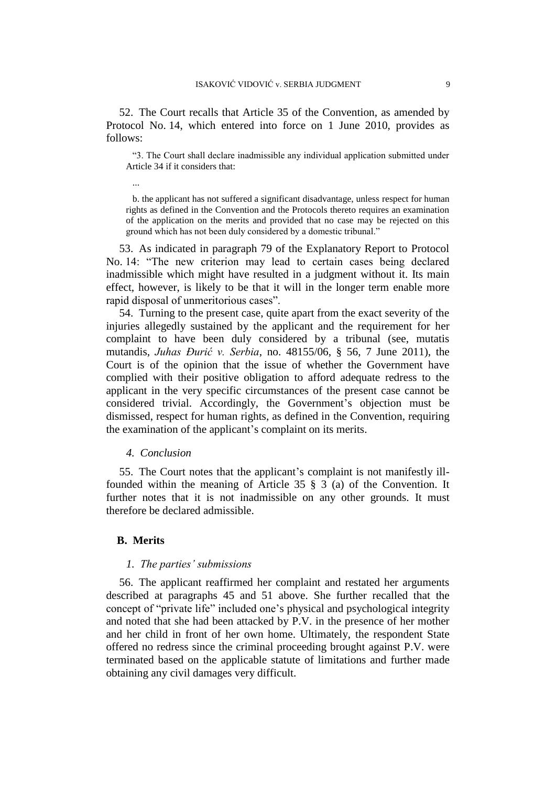52. The Court recalls that Article 35 of the Convention, as amended by Protocol No. 14, which entered into force on 1 June 2010, provides as follows:

"3. The Court shall declare inadmissible any individual application submitted under Article 34 if it considers that:

b. the applicant has not suffered a significant disadvantage, unless respect for human rights as defined in the Convention and the Protocols thereto requires an examination of the application on the merits and provided that no case may be rejected on this ground which has not been duly considered by a domestic tribunal."

53. As indicated in paragraph 79 of the Explanatory Report to Protocol No. 14: "The new criterion may lead to certain cases being declared inadmissible which might have resulted in a judgment without it. Its main effect, however, is likely to be that it will in the longer term enable more rapid disposal of unmeritorious cases".

54. Turning to the present case, quite apart from the exact severity of the injuries allegedly sustained by the applicant and the requirement for her complaint to have been duly considered by a tribunal (see, mutatis mutandis, *Juhas Đurić v. Serbia*, no. 48155/06, § 56, 7 June 2011), the Court is of the opinion that the issue of whether the Government have complied with their positive obligation to afford adequate redress to the applicant in the very specific circumstances of the present case cannot be considered trivial. Accordingly, the Government's objection must be dismissed, respect for human rights, as defined in the Convention, requiring the examination of the applicant's complaint on its merits.

### *4. Conclusion*

55. The Court notes that the applicant's complaint is not manifestly illfounded within the meaning of Article 35 § 3 (a) of the Convention. It further notes that it is not inadmissible on any other grounds. It must therefore be declared admissible.

# **B. Merits**

...

#### *1. The parties' submissions*

56. The applicant reaffirmed her complaint and restated her arguments described at paragraphs 45 and 51 above. She further recalled that the concept of "private life" included one's physical and psychological integrity and noted that she had been attacked by P.V. in the presence of her mother and her child in front of her own home. Ultimately, the respondent State offered no redress since the criminal proceeding brought against P.V. were terminated based on the applicable statute of limitations and further made obtaining any civil damages very difficult.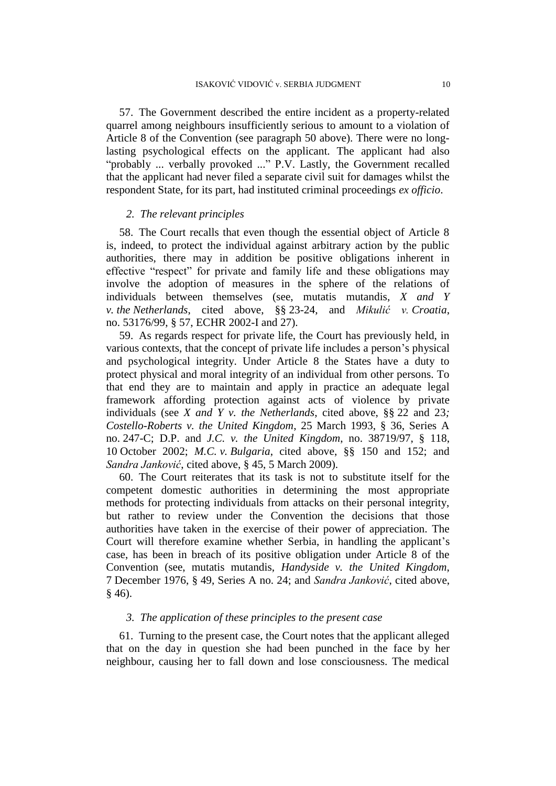57. The Government described the entire incident as a property-related quarrel among neighbours insufficiently serious to amount to a violation of Article 8 of the Convention (see paragraph 50 above). There were no longlasting psychological effects on the applicant. The applicant had also "probably ... verbally provoked ..." P.V. Lastly, the Government recalled that the applicant had never filed a separate civil suit for damages whilst the respondent State, for its part, had instituted criminal proceedings *ex officio*.

#### *2. The relevant principles*

58. The Court recalls that even though the essential object of Article 8 is, indeed, to protect the individual against arbitrary action by the public authorities, there may in addition be positive obligations inherent in effective "respect" for private and family life and these obligations may involve the adoption of measures in the sphere of the relations of individuals between themselves (see, mutatis mutandis, *X and Y v. the Netherlands*, cited above, §§ 23-24, and *Mikulić v. Croatia*, no. 53176/99, § 57, ECHR 2002-I and 27).

59. As regards respect for private life, the Court has previously held, in various contexts, that the concept of private life includes a person's physical and psychological integrity. Under Article 8 the States have a duty to protect physical and moral integrity of an individual from other persons. To that end they are to maintain and apply in practice an adequate legal framework affording protection against acts of violence by private individuals (see *X and Y v. the Netherlands*, cited above, §§ 22 and 23*; Costello-Roberts v. the United Kingdom*, 25 March 1993, § 36, Series A no. 247-C; D.P. and *J.C. v. the United Kingdom*, no. 38719/97, § 118, 10 October 2002; *M.C. v. Bulgaria*, cited above, §§ 150 and 152; and *Sandra Janković*, cited above, § 45, 5 March 2009).

60. The Court reiterates that its task is not to substitute itself for the competent domestic authorities in determining the most appropriate methods for protecting individuals from attacks on their personal integrity, but rather to review under the Convention the decisions that those authorities have taken in the exercise of their power of appreciation. The Court will therefore examine whether Serbia, in handling the applicant's case, has been in breach of its positive obligation under Article 8 of the Convention (see, mutatis mutandis, *Handyside v. the United Kingdom*, 7 December 1976, § 49, Series A no. 24; and *Sandra Janković*, cited above, § 46).

### *3. The application of these principles to the present case*

61. Turning to the present case, the Court notes that the applicant alleged that on the day in question she had been punched in the face by her neighbour, causing her to fall down and lose consciousness. The medical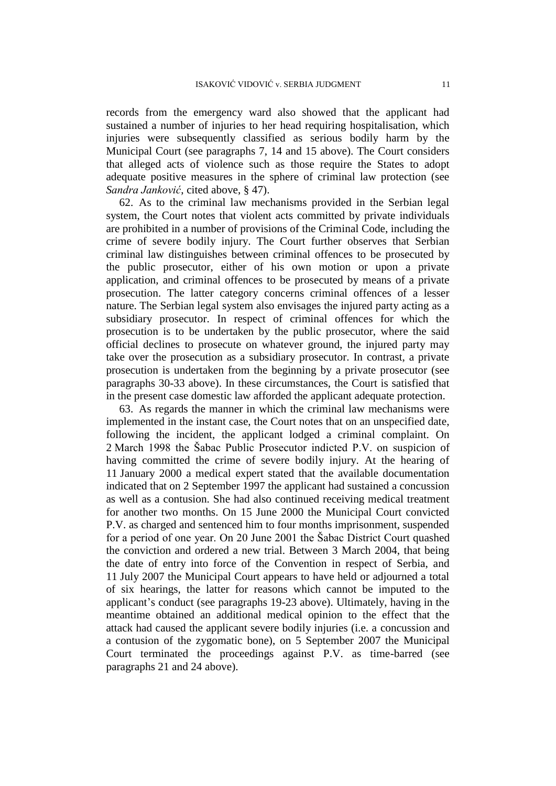records from the emergency ward also showed that the applicant had sustained a number of injuries to her head requiring hospitalisation, which injuries were subsequently classified as serious bodily harm by the Municipal Court (see paragraphs 7, 14 and 15 above). The Court considers that alleged acts of violence such as those require the States to adopt adequate positive measures in the sphere of criminal law protection (see *Sandra Janković*, cited above, § 47).

62. As to the criminal law mechanisms provided in the Serbian legal system, the Court notes that violent acts committed by private individuals are prohibited in a number of provisions of the Criminal Code, including the crime of severe bodily injury. The Court further observes that Serbian criminal law distinguishes between criminal offences to be prosecuted by the public prosecutor, either of his own motion or upon a private application, and criminal offences to be prosecuted by means of a private prosecution. The latter category concerns criminal offences of a lesser nature. The Serbian legal system also envisages the injured party acting as a subsidiary prosecutor. In respect of criminal offences for which the prosecution is to be undertaken by the public prosecutor, where the said official declines to prosecute on whatever ground, the injured party may take over the prosecution as a subsidiary prosecutor. In contrast, a private prosecution is undertaken from the beginning by a private prosecutor (see paragraphs 30-33 above). In these circumstances, the Court is satisfied that in the present case domestic law afforded the applicant adequate protection.

63. As regards the manner in which the criminal law mechanisms were implemented in the instant case, the Court notes that on an unspecified date, following the incident, the applicant lodged a criminal complaint. On 2 March 1998 the Šabac Public Prosecutor indicted P.V. on suspicion of having committed the crime of severe bodily injury. At the hearing of 11 January 2000 a medical expert stated that the available documentation indicated that on 2 September 1997 the applicant had sustained a concussion as well as a contusion. She had also continued receiving medical treatment for another two months. On 15 June 2000 the Municipal Court convicted P.V. as charged and sentenced him to four months imprisonment, suspended for a period of one year. On 20 June 2001 the Šabac District Court quashed the conviction and ordered a new trial. Between 3 March 2004, that being the date of entry into force of the Convention in respect of Serbia, and 11 July 2007 the Municipal Court appears to have held or adjourned a total of six hearings, the latter for reasons which cannot be imputed to the applicant's conduct (see paragraphs 19-23 above). Ultimately, having in the meantime obtained an additional medical opinion to the effect that the attack had caused the applicant severe bodily injuries (i.e. a concussion and a contusion of the zygomatic bone), on 5 September 2007 the Municipal Court terminated the proceedings against P.V. as time-barred (see paragraphs 21 and 24 above).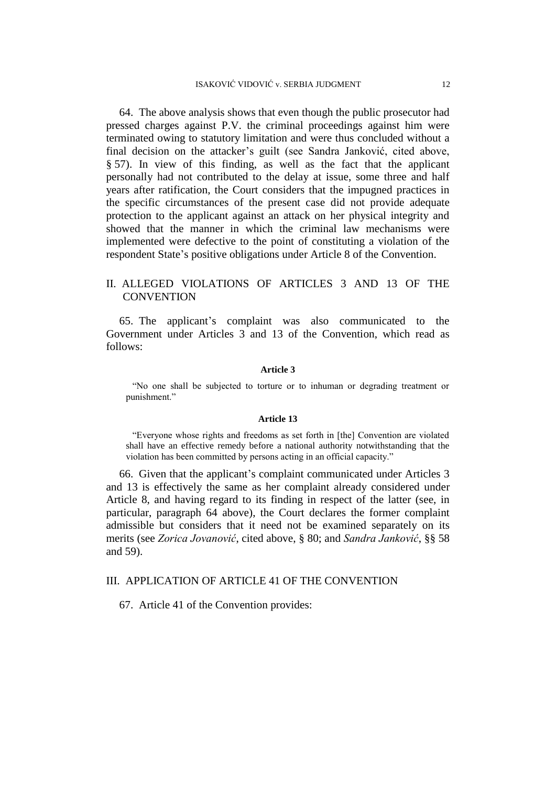64. The above analysis shows that even though the public prosecutor had pressed charges against P.V. the criminal proceedings against him were terminated owing to statutory limitation and were thus concluded without a final decision on the attacker's guilt (see Sandra Janković, cited above, § 57). In view of this finding, as well as the fact that the applicant personally had not contributed to the delay at issue, some three and half years after ratification, the Court considers that the impugned practices in the specific circumstances of the present case did not provide adequate protection to the applicant against an attack on her physical integrity and showed that the manner in which the criminal law mechanisms were implemented were defective to the point of constituting a violation of the respondent State's positive obligations under Article 8 of the Convention.

# II. ALLEGED VIOLATIONS OF ARTICLES 3 AND 13 OF THE **CONVENTION**

65. The applicant's complaint was also communicated to the Government under Articles 3 and 13 of the Convention, which read as follows:

#### **Article 3**

"No one shall be subjected to torture or to inhuman or degrading treatment or punishment."

#### **Article 13**

"Everyone whose rights and freedoms as set forth in [the] Convention are violated shall have an effective remedy before a national authority notwithstanding that the violation has been committed by persons acting in an official capacity."

66. Given that the applicant's complaint communicated under Articles 3 and 13 is effectively the same as her complaint already considered under Article 8, and having regard to its finding in respect of the latter (see, in particular, paragraph 64 above), the Court declares the former complaint admissible but considers that it need not be examined separately on its merits (see *Zorica Jovanović*, cited above, § 80; and *Sandra Janković*, §§ 58 and 59).

# III. APPLICATION OF ARTICLE 41 OF THE CONVENTION

67. Article 41 of the Convention provides: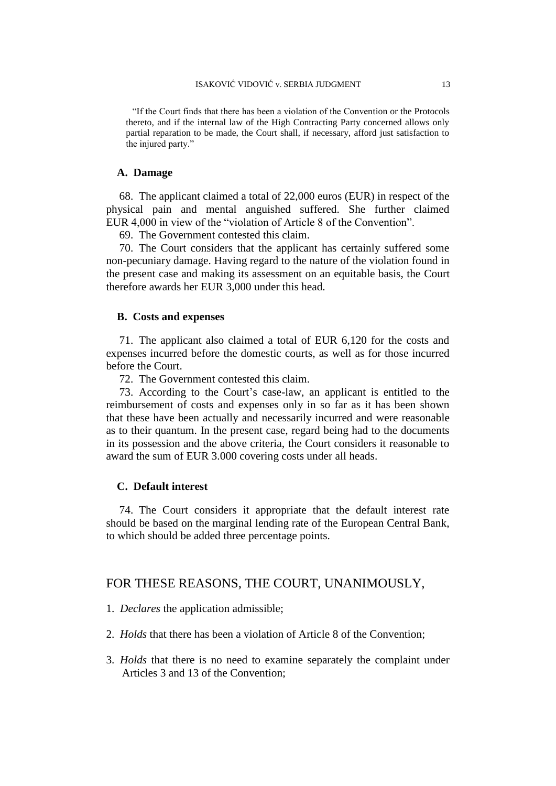"If the Court finds that there has been a violation of the Convention or the Protocols thereto, and if the internal law of the High Contracting Party concerned allows only partial reparation to be made, the Court shall, if necessary, afford just satisfaction to the injured party."

#### **A. Damage**

68. The applicant claimed a total of 22,000 euros (EUR) in respect of the physical pain and mental anguished suffered. She further claimed EUR 4,000 in view of the "violation of Article 8 of the Convention".

69. The Government contested this claim.

70. The Court considers that the applicant has certainly suffered some non-pecuniary damage. Having regard to the nature of the violation found in the present case and making its assessment on an equitable basis, the Court therefore awards her EUR 3,000 under this head.

#### **B. Costs and expenses**

71. The applicant also claimed a total of EUR 6,120 for the costs and expenses incurred before the domestic courts, as well as for those incurred before the Court.

72. The Government contested this claim.

73. According to the Court's case-law, an applicant is entitled to the reimbursement of costs and expenses only in so far as it has been shown that these have been actually and necessarily incurred and were reasonable as to their quantum. In the present case, regard being had to the documents in its possession and the above criteria, the Court considers it reasonable to award the sum of EUR 3.000 covering costs under all heads.

# **C. Default interest**

74. The Court considers it appropriate that the default interest rate should be based on the marginal lending rate of the European Central Bank, to which should be added three percentage points.

## FOR THESE REASONS, THE COURT, UNANIMOUSLY,

1. *Declares* the application admissible;

- 2. *Holds* that there has been a violation of Article 8 of the Convention;
- 3. *Holds* that there is no need to examine separately the complaint under Articles 3 and 13 of the Convention;